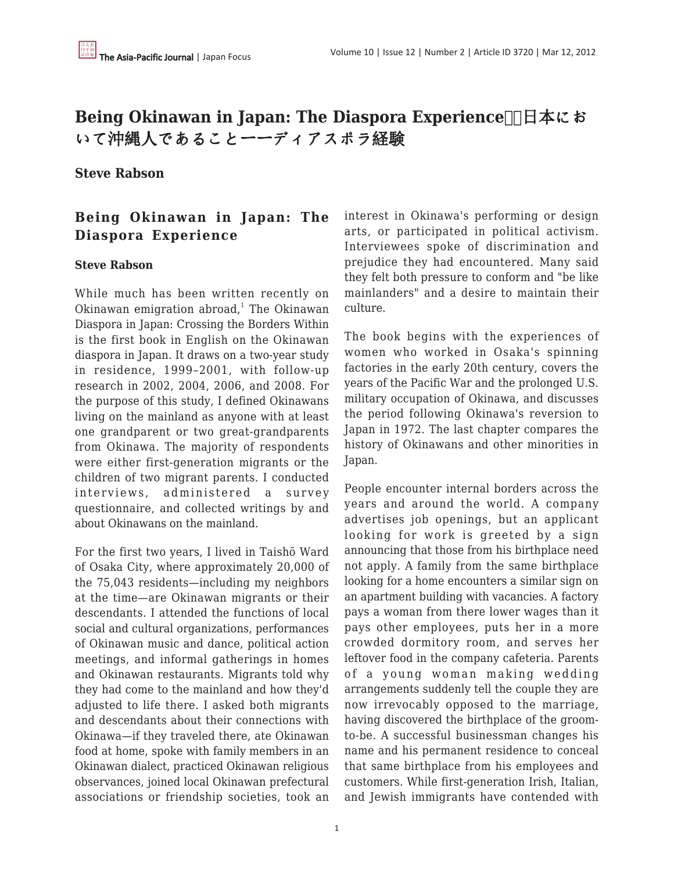# **Being Okinawan in Japan: The Diaspora Experience□□日本にお** いて沖縄人であることーーディアスポラ経験

#### **Steve Rabson**

## **Being Okinawan in Japan: The Diaspora Experience**

#### **Steve Rabson**

While much has been written recently on Okinawan emigration abroad,<sup>1</sup> The Okinawan Diaspora in Japan: Crossing the Borders Within is the first book in English on the Okinawan diaspora in Japan. It draws on a two-year study in residence, 1999–2001, with follow-up research in 2002, 2004, 2006, and 2008. For the purpose of this study, I defined Okinawans living on the mainland as anyone with at least one grandparent or two great-grandparents from Okinawa. The majority of respondents were either first-generation migrants or the children of two migrant parents. I conducted interviews, administered a survey questionnaire, and collected writings by and about Okinawans on the mainland.

For the first two years, I lived in Taishō Ward of Osaka City, where approximately 20,000 of the 75,043 residents—including my neighbors at the time—are Okinawan migrants or their descendants. I attended the functions of local social and cultural organizations, performances of Okinawan music and dance, political action meetings, and informal gatherings in homes and Okinawan restaurants. Migrants told why they had come to the mainland and how they'd adjusted to life there. I asked both migrants and descendants about their connections with Okinawa—if they traveled there, ate Okinawan food at home, spoke with family members in an Okinawan dialect, practiced Okinawan religious observances, joined local Okinawan prefectural associations or friendship societies, took an interest in Okinawa's performing or design arts, or participated in political activism. Interviewees spoke of discrimination and prejudice they had encountered. Many said they felt both pressure to conform and "be like mainlanders" and a desire to maintain their culture.

The book begins with the experiences of women who worked in Osaka's spinning factories in the early 20th century, covers the years of the Pacific War and the prolonged U.S. military occupation of Okinawa, and discusses the period following Okinawa's reversion to Japan in 1972. The last chapter compares the history of Okinawans and other minorities in Japan.

People encounter internal borders across the years and around the world. A company advertises job openings, but an applicant looking for work is greeted by a sign announcing that those from his birthplace need not apply. A family from the same birthplace looking for a home encounters a similar sign on an apartment building with vacancies. A factory pays a woman from there lower wages than it pays other employees, puts her in a more crowded dormitory room, and serves her leftover food in the company cafeteria. Parents of a young woman making wedding arrangements suddenly tell the couple they are now irrevocably opposed to the marriage, having discovered the birthplace of the groomto-be. A successful businessman changes his name and his permanent residence to conceal that same birthplace from his employees and customers. While first-generation Irish, Italian, and Jewish immigrants have contended with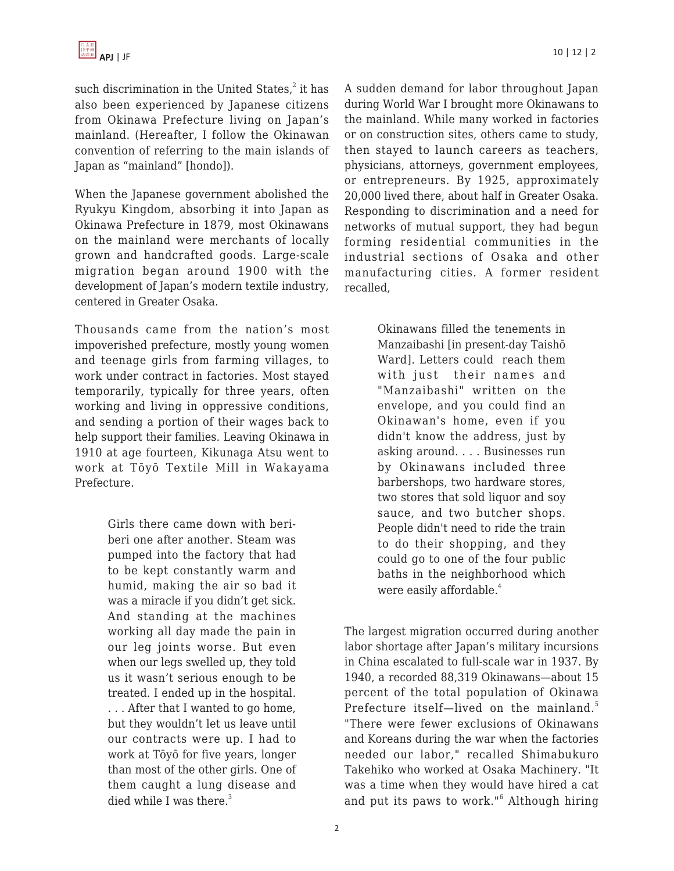such discrimination in the United States, ${}^{2}$  it has also been experienced by Japanese citizens from Okinawa Prefecture living on Japan's mainland. (Hereafter, I follow the Okinawan convention of referring to the main islands of Japan as "mainland" [hondo]).

When the Japanese government abolished the Ryukyu Kingdom, absorbing it into Japan as Okinawa Prefecture in 1879, most Okinawans on the mainland were merchants of locally grown and handcrafted goods. Large-scale migration began around 1900 with the development of Japan's modern textile industry, centered in Greater Osaka.

Thousands came from the nation's most impoverished prefecture, mostly young women and teenage girls from farming villages, to work under contract in factories. Most stayed temporarily, typically for three years, often working and living in oppressive conditions, and sending a portion of their wages back to help support their families. Leaving Okinawa in 1910 at age fourteen, Kikunaga Atsu went to work at Tōyō Textile Mill in Wakayama Prefecture.

> Girls there came down with beriberi one after another. Steam was pumped into the factory that had to be kept constantly warm and humid, making the air so bad it was a miracle if you didn't get sick. And standing at the machines working all day made the pain in our leg joints worse. But even when our legs swelled up, they told us it wasn't serious enough to be treated. I ended up in the hospital. . . . After that I wanted to go home, but they wouldn't let us leave until our contracts were up. I had to work at Tōyō for five years, longer than most of the other girls. One of them caught a lung disease and died while I was there. $3$

A sudden demand for labor throughout Japan during World War I brought more Okinawans to the mainland. While many worked in factories or on construction sites, others came to study, then stayed to launch careers as teachers, physicians, attorneys, government employees, or entrepreneurs. By 1925, approximately 20,000 lived there, about half in Greater Osaka. Responding to discrimination and a need for networks of mutual support, they had begun forming residential communities in the industrial sections of Osaka and other manufacturing cities. A former resident recalled,

> Okinawans filled the tenements in Manzaibashi [in present-day Taishō Ward]. Letters could reach them with just their names and "Manzaibashi" written on the envelope, and you could find an Okinawan's home, even if you didn't know the address, just by asking around. . . . Businesses run by Okinawans included three barbershops, two hardware stores, two stores that sold liquor and soy sauce, and two butcher shops. People didn't need to ride the train to do their shopping, and they could go to one of the four public baths in the neighborhood which were easily affordable.<sup>4</sup>

The largest migration occurred during another labor shortage after Japan's military incursions in China escalated to full-scale war in 1937. By 1940, a recorded 88,319 Okinawans—about 15 percent of the total population of Okinawa Prefecture itself-lived on the mainland.<sup>5</sup> "There were fewer exclusions of Okinawans and Koreans during the war when the factories needed our labor," recalled Shimabukuro Takehiko who worked at Osaka Machinery. "It was a time when they would have hired a cat and put its paws to work."<sup>6</sup> Although hiring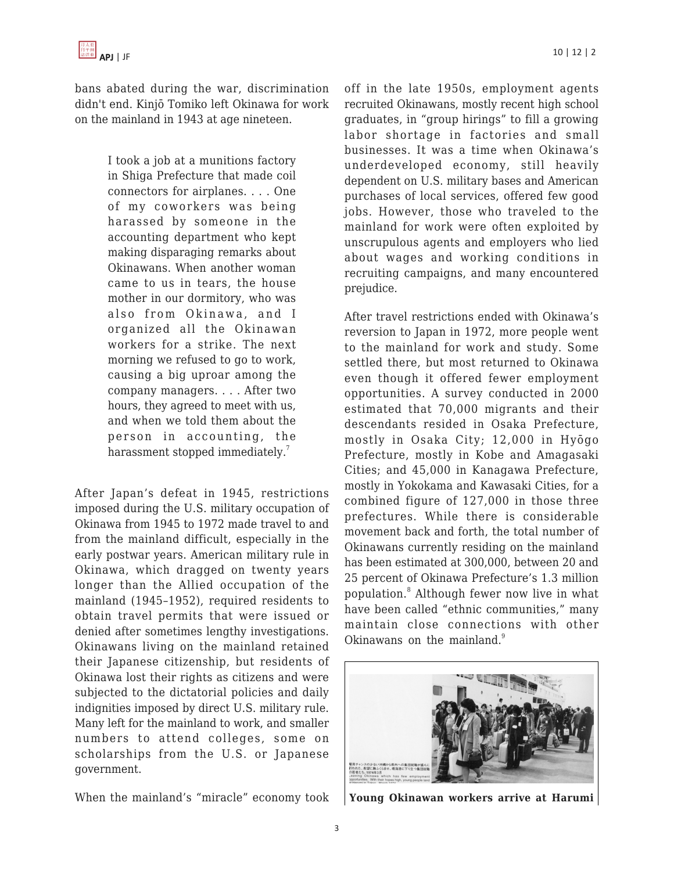bans abated during the war, discrimination didn't end. Kinjō Tomiko left Okinawa for work on the mainland in 1943 at age nineteen.

> I took a job at a munitions factory in Shiga Prefecture that made coil connectors for airplanes. . . . One of my coworkers was being harassed by someone in the accounting department who kept making disparaging remarks about Okinawans. When another woman came to us in tears, the house mother in our dormitory, who was also from Okinawa, and I organized all the Okinawan workers for a strike. The next morning we refused to go to work, causing a big uproar among the company managers. . . . After two hours, they agreed to meet with us, and when we told them about the person in accounting, the harassment stopped immediately.<sup>7</sup>

After Japan's defeat in 1945, restrictions imposed during the U.S. military occupation of Okinawa from 1945 to 1972 made travel to and from the mainland difficult, especially in the early postwar years. American military rule in Okinawa, which dragged on twenty years longer than the Allied occupation of the mainland (1945–1952), required residents to obtain travel permits that were issued or denied after sometimes lengthy investigations. Okinawans living on the mainland retained their Japanese citizenship, but residents of Okinawa lost their rights as citizens and were subjected to the dictatorial policies and daily indignities imposed by direct U.S. military rule. Many left for the mainland to work, and smaller numbers to attend colleges, some on scholarships from the U.S. or Japanese government.

When the mainland's "miracle" economy took

off in the late 1950s, employment agents recruited Okinawans, mostly recent high school graduates, in "group hirings" to fill a growing labor shortage in factories and small businesses. It was a time when Okinawa's underdeveloped economy, still heavily dependent on U.S. military bases and American purchases of local services, offered few good jobs. However, those who traveled to the mainland for work were often exploited by unscrupulous agents and employers who lied about wages and working conditions in recruiting campaigns, and many encountered prejudice.

After travel restrictions ended with Okinawa's reversion to Japan in 1972, more people went to the mainland for work and study. Some settled there, but most returned to Okinawa even though it offered fewer employment opportunities. A survey conducted in 2000 estimated that 70,000 migrants and their descendants resided in Osaka Prefecture, mostly in Osaka City; 12,000 in Hyōgo Prefecture, mostly in Kobe and Amagasaki Cities; and 45,000 in Kanagawa Prefecture, mostly in Yokokama and Kawasaki Cities, for a combined figure of 127,000 in those three prefectures. While there is considerable movement back and forth, the total number of Okinawans currently residing on the mainland has been estimated at 300,000, between 20 and 25 percent of Okinawa Prefecture's 1.3 million population.<sup>8</sup> Although fewer now live in what have been called "ethnic communities," many maintain close connections with other Okinawans on the mainland.<sup>9</sup>



**Young Okinawan workers arrive at Harumi**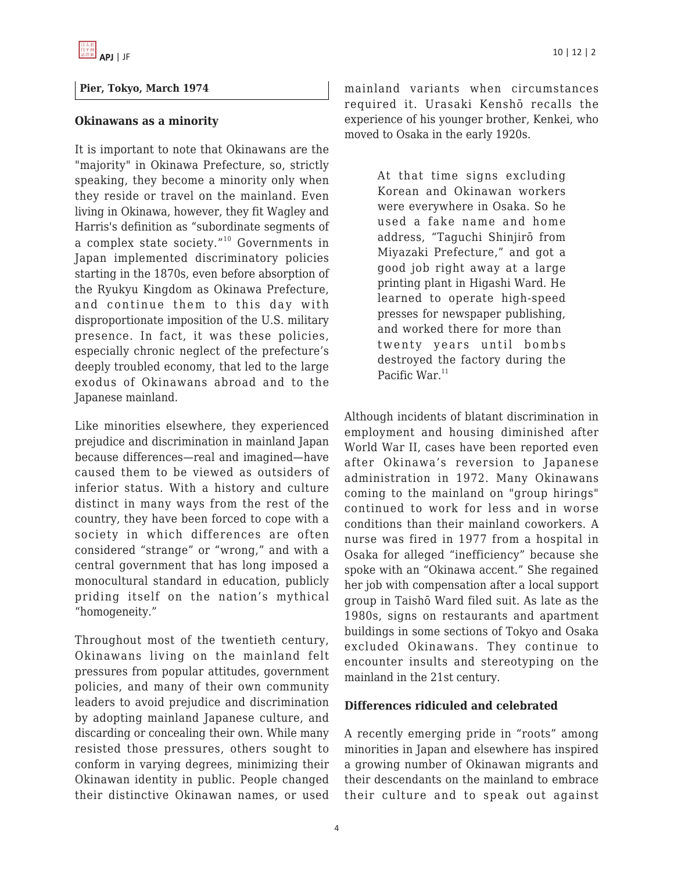#### **Pier, Tokyo, March 1974**

#### **Okinawans as a minority**

It is important to note that Okinawans are the "majority" in Okinawa Prefecture, so, strictly speaking, they become a minority only when they reside or travel on the mainland. Even living in Okinawa, however, they fit Wagley and Harris's definition as "subordinate segments of a complex state society."<sup>10</sup> Governments in Japan implemented discriminatory policies starting in the 1870s, even before absorption of the Ryukyu Kingdom as Okinawa Prefecture, and continue them to this day with disproportionate imposition of the U.S. military presence. In fact, it was these policies, especially chronic neglect of the prefecture's deeply troubled economy, that led to the large exodus of Okinawans abroad and to the Japanese mainland.

Like minorities elsewhere, they experienced prejudice and discrimination in mainland Japan because differences—real and imagined—have caused them to be viewed as outsiders of inferior status. With a history and culture distinct in many ways from the rest of the country, they have been forced to cope with a society in which differences are often considered "strange" or "wrong," and with a central government that has long imposed a monocultural standard in education, publicly priding itself on the nation's mythical "homogeneity."

Throughout most of the twentieth century, Okinawans living on the mainland felt pressures from popular attitudes, government policies, and many of their own community leaders to avoid prejudice and discrimination by adopting mainland Japanese culture, and discarding or concealing their own. While many resisted those pressures, others sought to conform in varying degrees, minimizing their Okinawan identity in public. People changed their distinctive Okinawan names, or used mainland variants when circumstances required it. Urasaki Kenshō recalls the experience of his younger brother, Kenkei, who moved to Osaka in the early 1920s.

> At that time signs excluding Korean and Okinawan workers were everywhere in Osaka. So he used a fake name and home address, "Taguchi Shinjirō from Miyazaki Prefecture," and got a good job right away at a large printing plant in Higashi Ward. He learned to operate high-speed presses for newspaper publishing, and worked there for more than twenty years until bombs destroyed the factory during the Pacific War. $11$

Although incidents of blatant discrimination in employment and housing diminished after World War II, cases have been reported even after Okinawa's reversion to Japanese administration in 1972. Many Okinawans coming to the mainland on "group hirings" continued to work for less and in worse conditions than their mainland coworkers. A nurse was fired in 1977 from a hospital in Osaka for alleged "inefficiency" because she spoke with an "Okinawa accent." She regained her job with compensation after a local support group in Taishō Ward filed suit. As late as the 1980s, signs on restaurants and apartment buildings in some sections of Tokyo and Osaka excluded Okinawans. They continue to encounter insults and stereotyping on the mainland in the 21st century.

#### **Differences ridiculed and celebrated**

A recently emerging pride in "roots" among minorities in Japan and elsewhere has inspired a growing number of Okinawan migrants and their descendants on the mainland to embrace their culture and to speak out against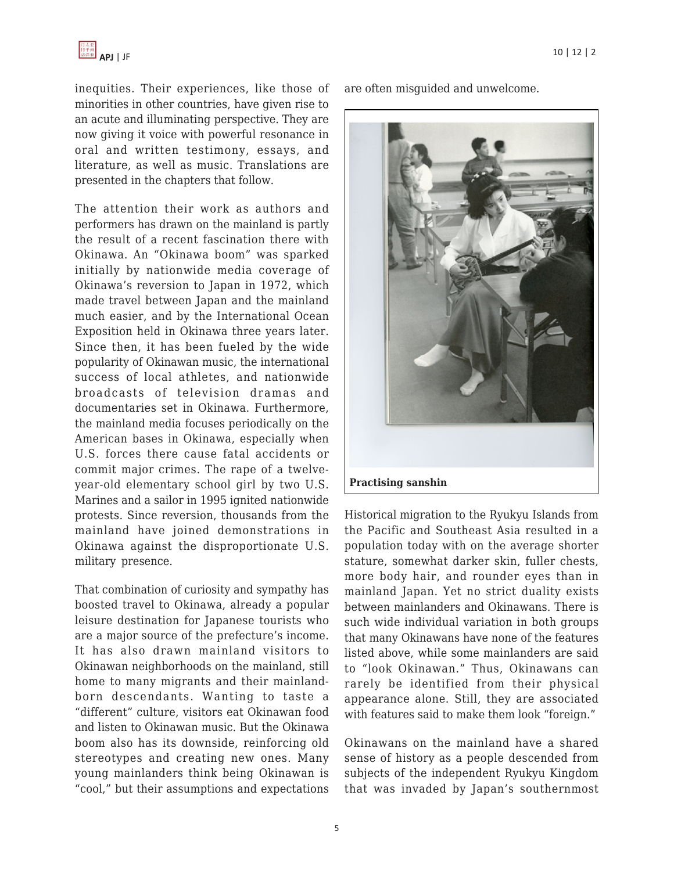inequities. Their experiences, like those of minorities in other countries, have given rise to an acute and illuminating perspective. They are now giving it voice with powerful resonance in oral and written testimony, essays, and literature, as well as music. Translations are presented in the chapters that follow.

The attention their work as authors and performers has drawn on the mainland is partly the result of a recent fascination there with Okinawa. An "Okinawa boom" was sparked initially by nationwide media coverage of Okinawa's reversion to Japan in 1972, which made travel between Japan and the mainland much easier, and by the International Ocean Exposition held in Okinawa three years later. Since then, it has been fueled by the wide popularity of Okinawan music, the international success of local athletes, and nationwide broadcasts of television dramas and documentaries set in Okinawa. Furthermore, the mainland media focuses periodically on the American bases in Okinawa, especially when U.S. forces there cause fatal accidents or commit major crimes. The rape of a twelveyear-old elementary school girl by two U.S. Marines and a sailor in 1995 ignited nationwide protests. Since reversion, thousands from the mainland have joined demonstrations in Okinawa against the disproportionate U.S. military presence.

That combination of curiosity and sympathy has boosted travel to Okinawa, already a popular leisure destination for Japanese tourists who are a major source of the prefecture's income. It has also drawn mainland visitors to Okinawan neighborhoods on the mainland, still home to many migrants and their mainlandborn descendants. Wanting to taste a "different" culture, visitors eat Okinawan food and listen to Okinawan music. But the Okinawa boom also has its downside, reinforcing old stereotypes and creating new ones. Many young mainlanders think being Okinawan is "cool," but their assumptions and expectations are often misguided and unwelcome.



Historical migration to the Ryukyu Islands from the Pacific and Southeast Asia resulted in a population today with on the average shorter stature, somewhat darker skin, fuller chests, more body hair, and rounder eyes than in mainland Japan. Yet no strict duality exists between mainlanders and Okinawans. There is such wide individual variation in both groups that many Okinawans have none of the features listed above, while some mainlanders are said to "look Okinawan." Thus, Okinawans can rarely be identified from their physical appearance alone. Still, they are associated with features said to make them look "foreign."

Okinawans on the mainland have a shared sense of history as a people descended from subjects of the independent Ryukyu Kingdom that was invaded by Japan's southernmost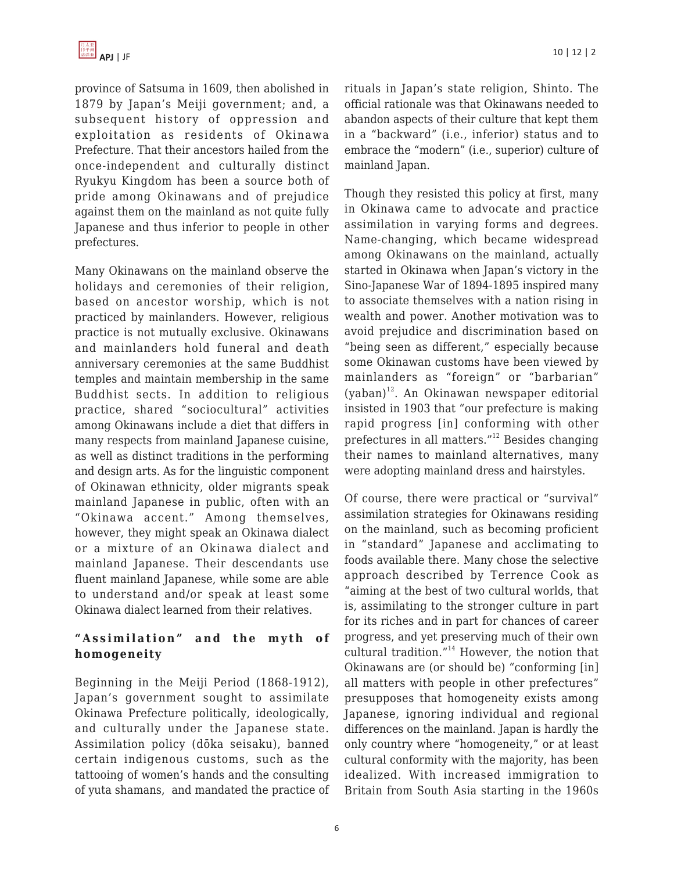province of Satsuma in 1609, then abolished in 1879 by Japan's Meiji government; and, a subsequent history of oppression and exploitation as residents of Okinawa Prefecture. That their ancestors hailed from the once-independent and culturally distinct Ryukyu Kingdom has been a source both of pride among Okinawans and of prejudice against them on the mainland as not quite fully Japanese and thus inferior to people in other prefectures.

Many Okinawans on the mainland observe the holidays and ceremonies of their religion, based on ancestor worship, which is not practiced by mainlanders. However, religious practice is not mutually exclusive. Okinawans and mainlanders hold funeral and death anniversary ceremonies at the same Buddhist temples and maintain membership in the same Buddhist sects. In addition to religious practice, shared "sociocultural" activities among Okinawans include a diet that differs in many respects from mainland Japanese cuisine, as well as distinct traditions in the performing and design arts. As for the linguistic component of Okinawan ethnicity, older migrants speak mainland Japanese in public, often with an "Okinawa accent." Among themselves, however, they might speak an Okinawa dialect or a mixture of an Okinawa dialect and mainland Japanese. Their descendants use fluent mainland Japanese, while some are able to understand and/or speak at least some Okinawa dialect learned from their relatives.

## **"Assimilation" and the myth of homogeneity**

Beginning in the Meiji Period (1868-1912), Japan's government sought to assimilate Okinawa Prefecture politically, ideologically, and culturally under the Japanese state. Assimilation policy (dōka seisaku), banned certain indigenous customs, such as the tattooing of women's hands and the consulting of yuta shamans, and mandated the practice of rituals in Japan's state religion, Shinto. The official rationale was that Okinawans needed to abandon aspects of their culture that kept them in a "backward" (i.e., inferior) status and to embrace the "modern" (i.e., superior) culture of mainland Japan.

Though they resisted this policy at first, many in Okinawa came to advocate and practice assimilation in varying forms and degrees. Name-changing, which became widespread among Okinawans on the mainland, actually started in Okinawa when Japan's victory in the Sino-Japanese War of 1894-1895 inspired many to associate themselves with a nation rising in wealth and power. Another motivation was to avoid prejudice and discrimination based on "being seen as different," especially because some Okinawan customs have been viewed by mainlanders as "foreign" or "barbarian" (yaban) <sup>12</sup>. An Okinawan newspaper editorial insisted in 1903 that "our prefecture is making rapid progress [in] conforming with other prefectures in all matters."<sup>12</sup> Besides changing their names to mainland alternatives, many were adopting mainland dress and hairstyles.

Of course, there were practical or "survival" assimilation strategies for Okinawans residing on the mainland, such as becoming proficient in "standard" Japanese and acclimating to foods available there. Many chose the selective approach described by Terrence Cook as "aiming at the best of two cultural worlds, that is, assimilating to the stronger culture in part for its riches and in part for chances of career progress, and yet preserving much of their own cultural tradition."<sup>14</sup> However, the notion that Okinawans are (or should be) "conforming [in] all matters with people in other prefectures" presupposes that homogeneity exists among Japanese, ignoring individual and regional differences on the mainland. Japan is hardly the only country where "homogeneity," or at least cultural conformity with the majority, has been idealized. With increased immigration to Britain from South Asia starting in the 1960s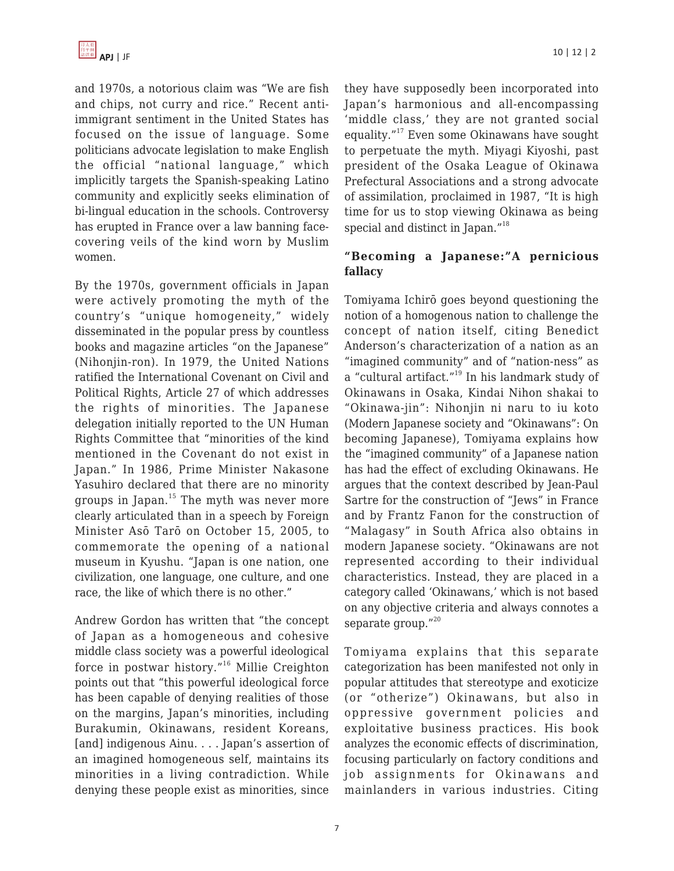and 1970s, a notorious claim was "We are fish and chips, not curry and rice." Recent antiimmigrant sentiment in the United States has focused on the issue of language. Some politicians advocate legislation to make English the official "national language," which implicitly targets the Spanish-speaking Latino community and explicitly seeks elimination of bi-lingual education in the schools. Controversy has erupted in France over a law banning facecovering veils of the kind worn by Muslim women.

By the 1970s, government officials in Japan were actively promoting the myth of the country's "unique homogeneity," widely disseminated in the popular press by countless books and magazine articles "on the Japanese" (Nihonjin-ron). In 1979, the United Nations ratified the International Covenant on Civil and Political Rights, Article 27 of which addresses the rights of minorities. The Japanese delegation initially reported to the UN Human Rights Committee that "minorities of the kind mentioned in the Covenant do not exist in Japan." In 1986, Prime Minister Nakasone Yasuhiro declared that there are no minority groups in Japan.<sup>15</sup> The myth was never more clearly articulated than in a speech by Foreign Minister Asō Tarō on October 15, 2005, to commemorate the opening of a national museum in Kyushu. "Japan is one nation, one civilization, one language, one culture, and one race, the like of which there is no other."

Andrew Gordon has written that "the concept of Japan as a homogeneous and cohesive middle class society was a powerful ideological force in postwar history."<sup>16</sup> Millie Creighton points out that "this powerful ideological force has been capable of denying realities of those on the margins, Japan's minorities, including Burakumin, Okinawans, resident Koreans, [and] indigenous Ainu. . . . Japan's assertion of an imagined homogeneous self, maintains its minorities in a living contradiction. While denying these people exist as minorities, since

they have supposedly been incorporated into Japan's harmonious and all-encompassing 'middle class,' they are not granted social equality."<sup>17</sup> Even some Okinawans have sought to perpetuate the myth. Miyagi Kiyoshi, past president of the Osaka League of Okinawa Prefectural Associations and a strong advocate of assimilation, proclaimed in 1987, "It is high time for us to stop viewing Okinawa as being special and distinct in Japan."<sup>18</sup>

## **"Becoming a Japanese:"A pernicious fallacy**

Tomiyama Ichirō goes beyond questioning the notion of a homogenous nation to challenge the concept of nation itself, citing Benedict Anderson's characterization of a nation as an "imagined community" and of "nation-ness" as a "cultural artifact."<sup>19</sup> In his landmark study of Okinawans in Osaka, Kindai Nihon shakai to "Okinawa-jin": Nihonjin ni naru to iu koto (Modern Japanese society and "Okinawans": On becoming Japanese), Tomiyama explains how the "imagined community" of a Japanese nation has had the effect of excluding Okinawans. He argues that the context described by Jean-Paul Sartre for the construction of "Jews" in France and by Frantz Fanon for the construction of "Malagasy" in South Africa also obtains in modern Japanese society. "Okinawans are not represented according to their individual characteristics. Instead, they are placed in a category called 'Okinawans,' which is not based on any objective criteria and always connotes a separate group."20

Tomiyama explains that this separate categorization has been manifested not only in popular attitudes that stereotype and exoticize (or "otherize") Okinawans, but also in oppressive government policies and exploitative business practices. His book analyzes the economic effects of discrimination, focusing particularly on factory conditions and job assignments for Okinawans and mainlanders in various industries. Citing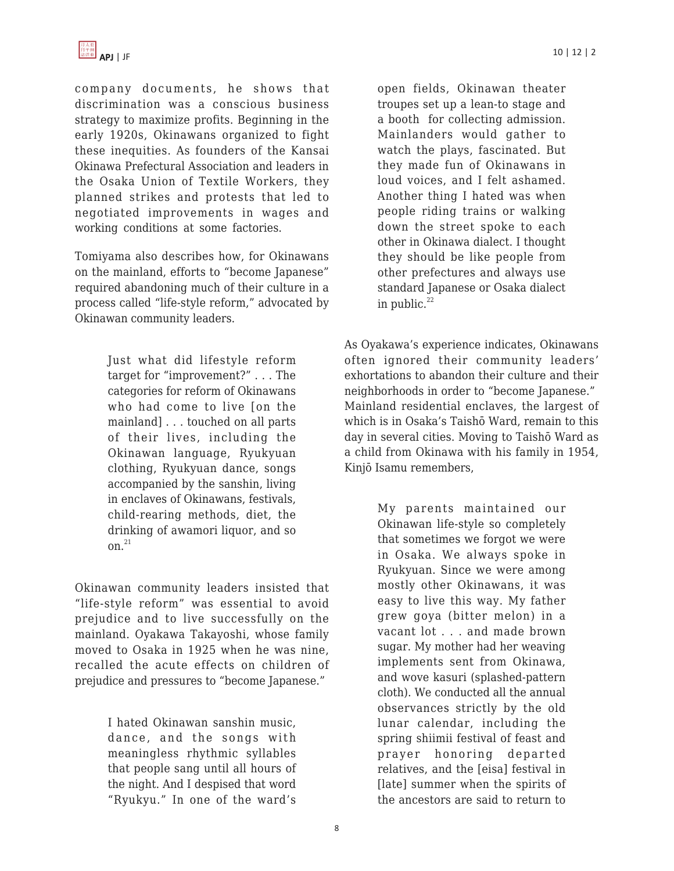

company documents, he shows that discrimination was a conscious business strategy to maximize profits. Beginning in the early 1920s, Okinawans organized to fight these inequities. As founders of the Kansai Okinawa Prefectural Association and leaders in the Osaka Union of Textile Workers, they planned strikes and protests that led to negotiated improvements in wages and working conditions at some factories.

Tomiyama also describes how, for Okinawans on the mainland, efforts to "become Japanese" required abandoning much of their culture in a process called "life-style reform," advocated by Okinawan community leaders.

> Just what did lifestyle reform target for "improvement?" . . . The categories for reform of Okinawans who had come to live [on the mainland] . . . touched on all parts of their lives, including the Okinawan language, Ryukyuan clothing, Ryukyuan dance, songs accompanied by the sanshin, living in enclaves of Okinawans, festivals, child-rearing methods, diet, the drinking of awamori liquor, and so on. $^{21}$

Okinawan community leaders insisted that "life-style reform" was essential to avoid prejudice and to live successfully on the mainland. Oyakawa Takayoshi, whose family moved to Osaka in 1925 when he was nine, recalled the acute effects on children of prejudice and pressures to "become Japanese."

> I hated Okinawan sanshin music, dance, and the songs with meaningless rhythmic syllables that people sang until all hours of the night. And I despised that word "Ryukyu." In one of the ward's

open fields, Okinawan theater troupes set up a lean-to stage and a booth for collecting admission. Mainlanders would gather to watch the plays, fascinated. But they made fun of Okinawans in loud voices, and I felt ashamed. Another thing I hated was when people riding trains or walking down the street spoke to each other in Okinawa dialect. I thought they should be like people from other prefectures and always use standard Japanese or Osaka dialect in public. $^{22}$ 

As Oyakawa's experience indicates, Okinawans often ignored their community leaders' exhortations to abandon their culture and their neighborhoods in order to "become Japanese." Mainland residential enclaves, the largest of which is in Osaka's Taishō Ward, remain to this day in several cities. Moving to Taishō Ward as a child from Okinawa with his family in 1954, Kinjō Isamu remembers,

> My parents maintained our Okinawan life-style so completely that sometimes we forgot we were in Osaka. We always spoke in Ryukyuan. Since we were among mostly other Okinawans, it was easy to live this way. My father grew goya (bitter melon) in a vacant lot . . . and made brown sugar. My mother had her weaving implements sent from Okinawa, and wove kasuri (splashed-pattern cloth). We conducted all the annual observances strictly by the old lunar calendar, including the spring shiimii festival of feast and prayer honoring departed relatives, and the [eisa] festival in [late] summer when the spirits of the ancestors are said to return to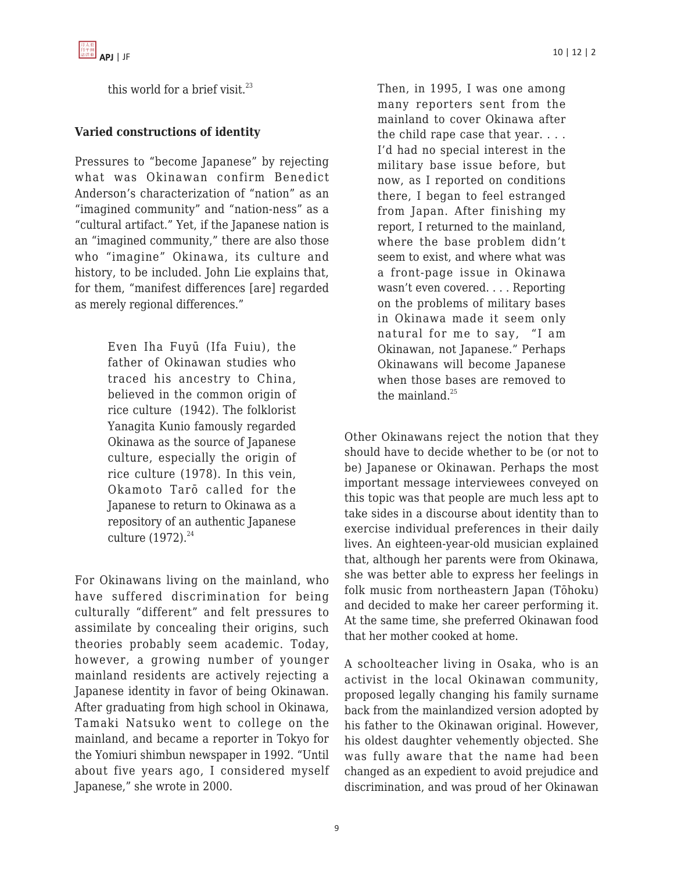this world for a brief visit. $^{23}$ 

## **Varied constructions of identity**

Pressures to "become Japanese" by rejecting what was Okinawan confirm Benedict Anderson's characterization of "nation" as an "imagined community" and "nation-ness" as a "cultural artifact." Yet, if the Japanese nation is an "imagined community," there are also those who "imagine" Okinawa, its culture and history, to be included. John Lie explains that, for them, "manifest differences [are] regarded as merely regional differences."

> Even Iha Fuyū (Ifa Fuiu), the father of Okinawan studies who traced his ancestry to China, believed in the common origin of rice culture (1942). The folklorist Yanagita Kunio famously regarded Okinawa as the source of Japanese culture, especially the origin of rice culture (1978). In this vein, Okamoto Tarō called for the Japanese to return to Okinawa as a repository of an authentic Japanese culture  $(1972)^{24}$

For Okinawans living on the mainland, who have suffered discrimination for being culturally "different" and felt pressures to assimilate by concealing their origins, such theories probably seem academic. Today, however, a growing number of younger mainland residents are actively rejecting a Japanese identity in favor of being Okinawan. After graduating from high school in Okinawa, Tamaki Natsuko went to college on the mainland, and became a reporter in Tokyo for the Yomiuri shimbun newspaper in 1992. "Until about five years ago, I considered myself Japanese," she wrote in 2000.

Then, in 1995, I was one among many reporters sent from the mainland to cover Okinawa after the child rape case that year. . . . I'd had no special interest in the military base issue before, but now, as I reported on conditions there, I began to feel estranged from Japan. After finishing my report, I returned to the mainland, where the base problem didn't seem to exist, and where what was a front-page issue in Okinawa wasn't even covered. . . . Reporting on the problems of military bases in Okinawa made it seem only natural for me to say, "I am Okinawan, not Japanese." Perhaps Okinawans will become Japanese when those bases are removed to the mainland. $25$ 

Other Okinawans reject the notion that they should have to decide whether to be (or not to be) Japanese or Okinawan. Perhaps the most important message interviewees conveyed on this topic was that people are much less apt to take sides in a discourse about identity than to exercise individual preferences in their daily lives. An eighteen-year-old musician explained that, although her parents were from Okinawa, she was better able to express her feelings in folk music from northeastern Japan (Tōhoku) and decided to make her career performing it. At the same time, she preferred Okinawan food that her mother cooked at home.

A schoolteacher living in Osaka, who is an activist in the local Okinawan community, proposed legally changing his family surname back from the mainlandized version adopted by his father to the Okinawan original. However, his oldest daughter vehemently objected. She was fully aware that the name had been changed as an expedient to avoid prejudice and discrimination, and was proud of her Okinawan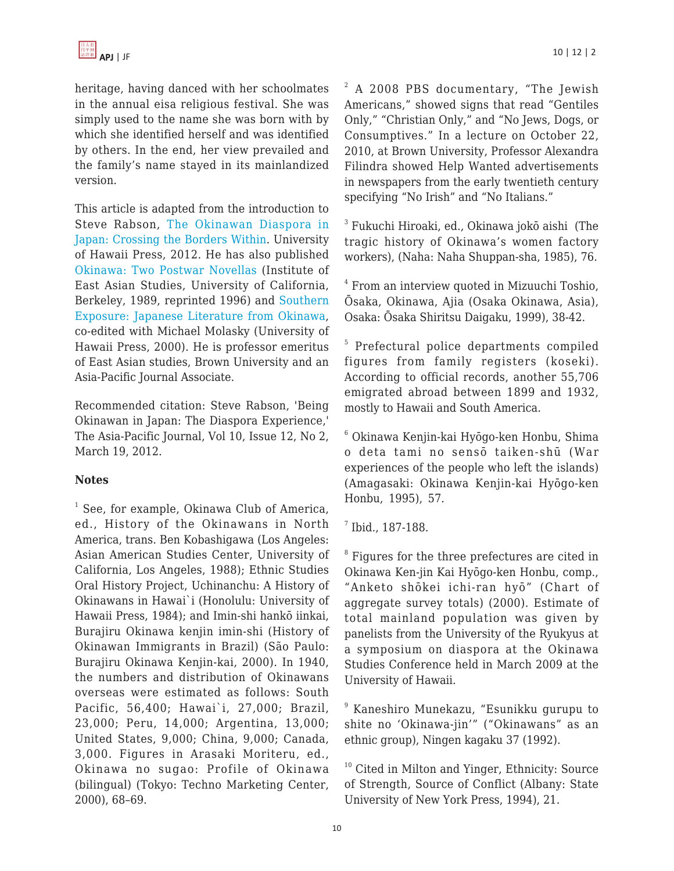heritage, having danced with her schoolmates in the annual eisa religious festival. She was simply used to the name she was born with by which she identified herself and was identified by others. In the end, her view prevailed and the family's name stayed in its mainlandized version.

This article is adapted from the introduction to Steve Rabson, [The Okinawan Diaspora in](http://www.uhpress.hawaii.edu/p-7552-9780824835347.aspx) [Japan: Crossing the Borders Within](http://www.uhpress.hawaii.edu/p-7552-9780824835347.aspx). University of Hawaii Press, 2012. He has also published [Okinawa: Two Postwar Novellas](http://www.amazon.com/Okinawa-Postwar-Novellas-Research-Monograph/dp/1557290156) (Institute of East Asian Studies, University of California, Berkeley, 1989, reprinted 1996) and [Southern](http://www.uhpress.hawaii.edu/p-1552-9780824823009.aspx) [Exposure: Japanese Literature from Okinawa,](http://www.uhpress.hawaii.edu/p-1552-9780824823009.aspx) co-edited with Michael Molasky (University of Hawaii Press, 2000). He is professor emeritus of East Asian studies, Brown University and an Asia-Pacific Journal Associate.

Recommended citation: Steve Rabson, 'Being Okinawan in Japan: The Diaspora Experience,' The Asia-Pacific Journal, Vol 10, Issue 12, No 2, March 19, 2012.

## **Notes**

<sup>1</sup> See, for example, Okinawa Club of America, ed., History of the Okinawans in North America, trans. Ben Kobashigawa (Los Angeles: Asian American Studies Center, University of California, Los Angeles, 1988); Ethnic Studies Oral History Project, Uchinanchu: A History of Okinawans in Hawai`i (Honolulu: University of Hawaii Press, 1984); and Imin-shi hankō iinkai, Burajiru Okinawa kenjin imin-shi (History of Okinawan Immigrants in Brazil) (São Paulo: Burajiru Okinawa Kenjin-kai, 2000). In 1940, the numbers and distribution of Okinawans overseas were estimated as follows: South Pacific, 56,400; Hawai`i, 27,000; Brazil, 23,000; Peru, 14,000; Argentina, 13,000; United States, 9,000; China, 9,000; Canada, 3,000. Figures in Arasaki Moriteru, ed., Okinawa no sugao: Profile of Okinawa (bilingual) (Tokyo: Techno Marketing Center, 2000), 68–69.

<sup>2</sup> A 2008 PBS documentary, "The Jewish Americans," showed signs that read "Gentiles Only," "Christian Only," and "No Jews, Dogs, or Consumptives." In a lecture on October 22, 2010, at Brown University, Professor Alexandra Filindra showed Help Wanted advertisements in newspapers from the early twentieth century specifying "No Irish" and "No Italians."

3 Fukuchi Hiroaki, ed., Okinawa jokō aishi (The tragic history of Okinawa's women factory workers), (Naha: Naha Shuppan-sha, 1985), 76.

4 From an interview quoted in Mizuuchi Toshio, Ōsaka, Okinawa, Ajia (Osaka Okinawa, Asia), Osaka: Ōsaka Shiritsu Daigaku, 1999), 38-42.

5 Prefectural police departments compiled figures from family registers (koseki). According to official records, another 55,706 emigrated abroad between 1899 and 1932, mostly to Hawaii and South America.

6 Okinawa Kenjin-kai Hyōgo-ken Honbu, Shima o deta tami no sensō taiken-shū (War experiences of the people who left the islands) (Amagasaki: Okinawa Kenjin-kai Hyōgo-ken Honbu, 1995), 57.

7 Ibid., 187-188.

 $8$  Figures for the three prefectures are cited in Okinawa Ken-jin Kai Hyōgo-ken Honbu, comp., "Anketo shōkei ichi-ran hyō" (Chart of aggregate survey totals) (2000). Estimate of total mainland population was given by panelists from the University of the Ryukyus at a symposium on diaspora at the Okinawa Studies Conference held in March 2009 at the University of Hawaii.

9 Kaneshiro Munekazu, "Esunikku gurupu to shite no 'Okinawa-jin'" ("Okinawans" as an ethnic group), Ningen kagaku 37 (1992).

 $10$  Cited in Milton and Yinger, Ethnicity: Source of Strength, Source of Conflict (Albany: State University of New York Press, 1994), 21.